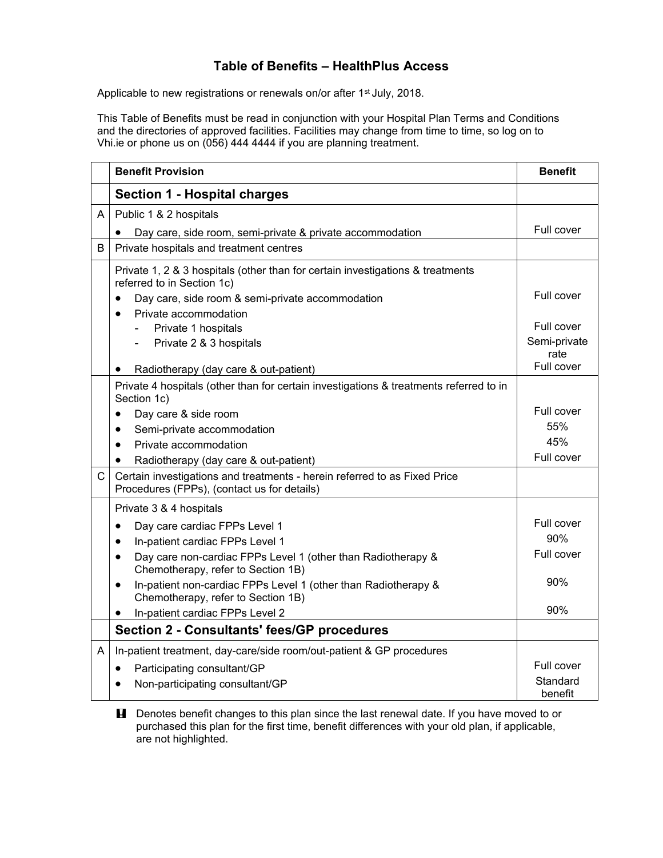## **Table of Benefits – HealthPlus Access**

Applicable to new registrations or renewals on/or after 1<sup>st</sup> July, 2018.

This Table of Benefits must be read in conjunction with your Hospital Plan Terms and Conditions and the directories of approved facilities. Facilities may change from time to time, so log on to Vhi.ie or phone us on (056) 444 4444 if you are planning treatment.

|              | <b>Benefit Provision</b>                                                                                                 | <b>Benefit</b>       |
|--------------|--------------------------------------------------------------------------------------------------------------------------|----------------------|
|              | <b>Section 1 - Hospital charges</b>                                                                                      |                      |
| A            | Public 1 & 2 hospitals                                                                                                   |                      |
|              | Day care, side room, semi-private & private accommodation                                                                | Full cover           |
| B            | Private hospitals and treatment centres                                                                                  |                      |
|              | Private 1, 2 & 3 hospitals (other than for certain investigations & treatments<br>referred to in Section 1c)             |                      |
|              | Day care, side room & semi-private accommodation                                                                         | Full cover           |
|              | Private accommodation<br>$\bullet$                                                                                       |                      |
|              | Private 1 hospitals                                                                                                      | Full cover           |
|              | Private 2 & 3 hospitals                                                                                                  | Semi-private<br>rate |
|              | Radiotherapy (day care & out-patient)                                                                                    | Full cover           |
|              | Private 4 hospitals (other than for certain investigations & treatments referred to in<br>Section 1c)                    |                      |
|              | Day care & side room<br>$\bullet$                                                                                        | Full cover           |
|              | Semi-private accommodation<br>$\bullet$                                                                                  | 55%                  |
|              | Private accommodation<br>$\bullet$                                                                                       | 45%                  |
|              | Radiotherapy (day care & out-patient)<br>$\bullet$                                                                       | Full cover           |
| $\mathsf{C}$ | Certain investigations and treatments - herein referred to as Fixed Price<br>Procedures (FPPs), (contact us for details) |                      |
|              | Private 3 & 4 hospitals                                                                                                  |                      |
|              | Day care cardiac FPPs Level 1<br>$\bullet$                                                                               | Full cover           |
|              | In-patient cardiac FPPs Level 1<br>$\bullet$                                                                             | 90%                  |
|              | Day care non-cardiac FPPs Level 1 (other than Radiotherapy &<br>$\bullet$<br>Chemotherapy, refer to Section 1B)          | Full cover           |
|              | In-patient non-cardiac FPPs Level 1 (other than Radiotherapy &<br>$\bullet$<br>Chemotherapy, refer to Section 1B)        | 90%                  |
|              | In-patient cardiac FPPs Level 2                                                                                          | 90%                  |
|              | <b>Section 2 - Consultants' fees/GP procedures</b>                                                                       |                      |
| A            | In-patient treatment, day-care/side room/out-patient & GP procedures                                                     |                      |
|              | Participating consultant/GP<br>$\bullet$                                                                                 | Full cover           |
|              | Non-participating consultant/GP<br>$\bullet$                                                                             | Standard<br>benefit  |

**H** Denotes benefit changes to this plan since the last renewal date. If you have moved to or purchased this plan for the first time, benefit differences with your old plan, if applicable, are not highlighted.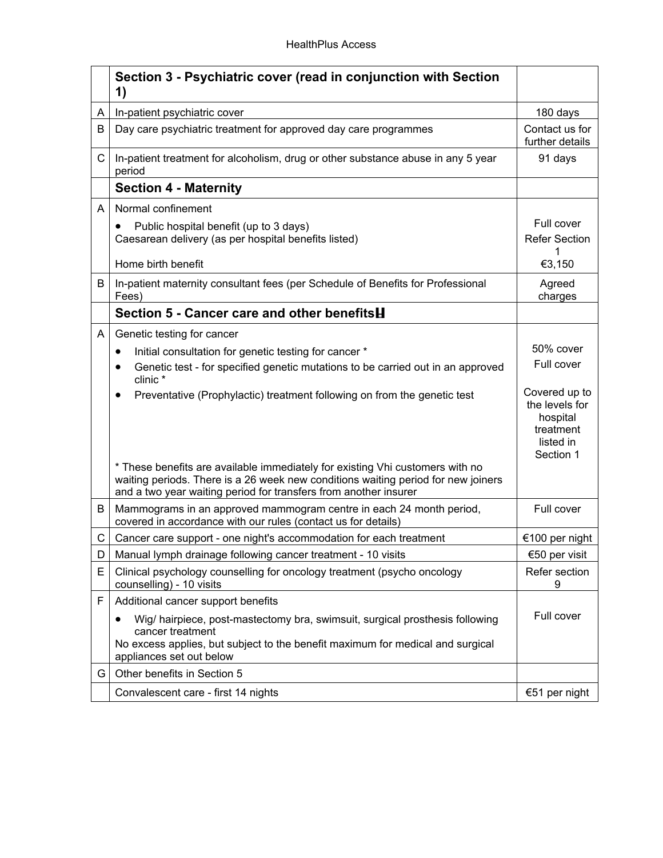|   | Section 3 - Psychiatric cover (read in conjunction with Section<br>1)                                                                                                                                                                  |                                                                                    |
|---|----------------------------------------------------------------------------------------------------------------------------------------------------------------------------------------------------------------------------------------|------------------------------------------------------------------------------------|
| A | In-patient psychiatric cover                                                                                                                                                                                                           | 180 days                                                                           |
| B | Day care psychiatric treatment for approved day care programmes                                                                                                                                                                        | Contact us for<br>further details                                                  |
| C | In-patient treatment for alcoholism, drug or other substance abuse in any 5 year<br>period                                                                                                                                             | 91 days                                                                            |
|   | <b>Section 4 - Maternity</b>                                                                                                                                                                                                           |                                                                                    |
| A | Normal confinement                                                                                                                                                                                                                     |                                                                                    |
|   | Public hospital benefit (up to 3 days)<br>٠<br>Caesarean delivery (as per hospital benefits listed)                                                                                                                                    | Full cover<br><b>Refer Section</b><br>1                                            |
|   | Home birth benefit                                                                                                                                                                                                                     | €3,150                                                                             |
| B | In-patient maternity consultant fees (per Schedule of Benefits for Professional<br>Fees)                                                                                                                                               | Agreed<br>charges                                                                  |
|   | Section 5 - Cancer care and other benefits H                                                                                                                                                                                           |                                                                                    |
| A | Genetic testing for cancer                                                                                                                                                                                                             |                                                                                    |
|   | Initial consultation for genetic testing for cancer *<br>$\bullet$                                                                                                                                                                     | 50% cover                                                                          |
|   | Genetic test - for specified genetic mutations to be carried out in an approved<br>$\bullet$<br>clinic*                                                                                                                                | Full cover                                                                         |
|   | Preventative (Prophylactic) treatment following on from the genetic test<br>٠                                                                                                                                                          | Covered up to<br>the levels for<br>hospital<br>treatment<br>listed in<br>Section 1 |
|   | * These benefits are available immediately for existing Vhi customers with no<br>waiting periods. There is a 26 week new conditions waiting period for new joiners<br>and a two year waiting period for transfers from another insurer |                                                                                    |
| В | Mammograms in an approved mammogram centre in each 24 month period,<br>covered in accordance with our rules (contact us for details)                                                                                                   | Full cover                                                                         |
| C | Cancer care support - one night's accommodation for each treatment                                                                                                                                                                     | €100 per night                                                                     |
| D | Manual lymph drainage following cancer treatment - 10 visits                                                                                                                                                                           | €50 per visit                                                                      |
| Е | Clinical psychology counselling for oncology treatment (psycho oncology<br>counselling) - 10 visits                                                                                                                                    | Refer section<br>9                                                                 |
| F | Additional cancer support benefits                                                                                                                                                                                                     |                                                                                    |
|   | Wig/ hairpiece, post-mastectomy bra, swimsuit, surgical prosthesis following                                                                                                                                                           | Full cover                                                                         |
|   | cancer treatment<br>No excess applies, but subject to the benefit maximum for medical and surgical<br>appliances set out below                                                                                                         |                                                                                    |
| G | Other benefits in Section 5                                                                                                                                                                                                            |                                                                                    |
|   | Convalescent care - first 14 nights                                                                                                                                                                                                    | €51 per night                                                                      |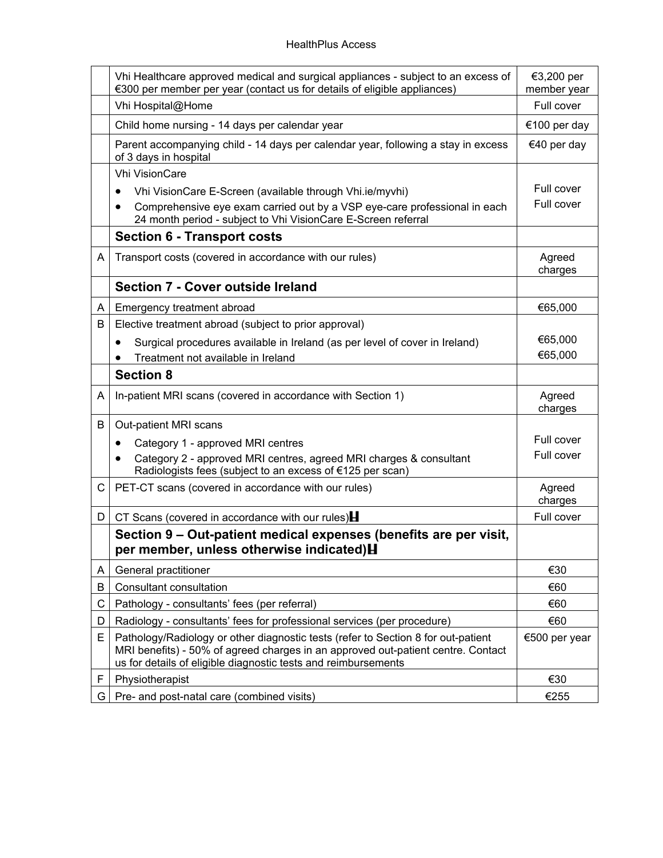|    | Vhi Healthcare approved medical and surgical appliances - subject to an excess of<br>€300 per member per year (contact us for details of eligible appliances)                                                                           | €3,200 per<br>member year |
|----|-----------------------------------------------------------------------------------------------------------------------------------------------------------------------------------------------------------------------------------------|---------------------------|
|    | Vhi Hospital@Home                                                                                                                                                                                                                       | Full cover                |
|    | Child home nursing - 14 days per calendar year                                                                                                                                                                                          | €100 per day              |
|    | Parent accompanying child - 14 days per calendar year, following a stay in excess<br>of 3 days in hospital                                                                                                                              | €40 per day               |
|    | <b>Vhi VisionCare</b>                                                                                                                                                                                                                   |                           |
|    | Vhi VisionCare E-Screen (available through Vhi.ie/myvhi)                                                                                                                                                                                | Full cover                |
|    | Comprehensive eye exam carried out by a VSP eye-care professional in each<br>24 month period - subject to Vhi VisionCare E-Screen referral                                                                                              | Full cover                |
|    | <b>Section 6 - Transport costs</b>                                                                                                                                                                                                      |                           |
| A  | Transport costs (covered in accordance with our rules)                                                                                                                                                                                  | Agreed<br>charges         |
|    | Section 7 - Cover outside Ireland                                                                                                                                                                                                       |                           |
| A  | Emergency treatment abroad                                                                                                                                                                                                              | €65,000                   |
| В  | Elective treatment abroad (subject to prior approval)                                                                                                                                                                                   |                           |
|    | Surgical procedures available in Ireland (as per level of cover in Ireland)<br>$\bullet$                                                                                                                                                | €65,000                   |
|    | Treatment not available in Ireland                                                                                                                                                                                                      | €65,000                   |
|    | <b>Section 8</b>                                                                                                                                                                                                                        |                           |
| A  | In-patient MRI scans (covered in accordance with Section 1)                                                                                                                                                                             | Agreed<br>charges         |
| В  | Out-patient MRI scans                                                                                                                                                                                                                   |                           |
|    | Category 1 - approved MRI centres                                                                                                                                                                                                       | Full cover                |
|    | Category 2 - approved MRI centres, agreed MRI charges & consultant<br>$\bullet$<br>Radiologists fees (subject to an excess of €125 per scan)                                                                                            | Full cover                |
| C. | PET-CT scans (covered in accordance with our rules)                                                                                                                                                                                     | Agreed<br>charges         |
| D  | CT Scans (covered in accordance with our rules) $\blacksquare$                                                                                                                                                                          | Full cover                |
|    | Section 9 – Out-patient medical expenses (benefits are per visit,<br>per member, unless otherwise indicated) H                                                                                                                          |                           |
| A  | General practitioner                                                                                                                                                                                                                    | €30                       |
| B  | <b>Consultant consultation</b>                                                                                                                                                                                                          | €60                       |
| С  | Pathology - consultants' fees (per referral)                                                                                                                                                                                            | €60                       |
| D  | Radiology - consultants' fees for professional services (per procedure)                                                                                                                                                                 | €60                       |
| E  | Pathology/Radiology or other diagnostic tests (refer to Section 8 for out-patient<br>MRI benefits) - 50% of agreed charges in an approved out-patient centre. Contact<br>us for details of eligible diagnostic tests and reimbursements | €500 per year             |
| F  | Physiotherapist                                                                                                                                                                                                                         | €30                       |
| G  | Pre- and post-natal care (combined visits)                                                                                                                                                                                              | €255                      |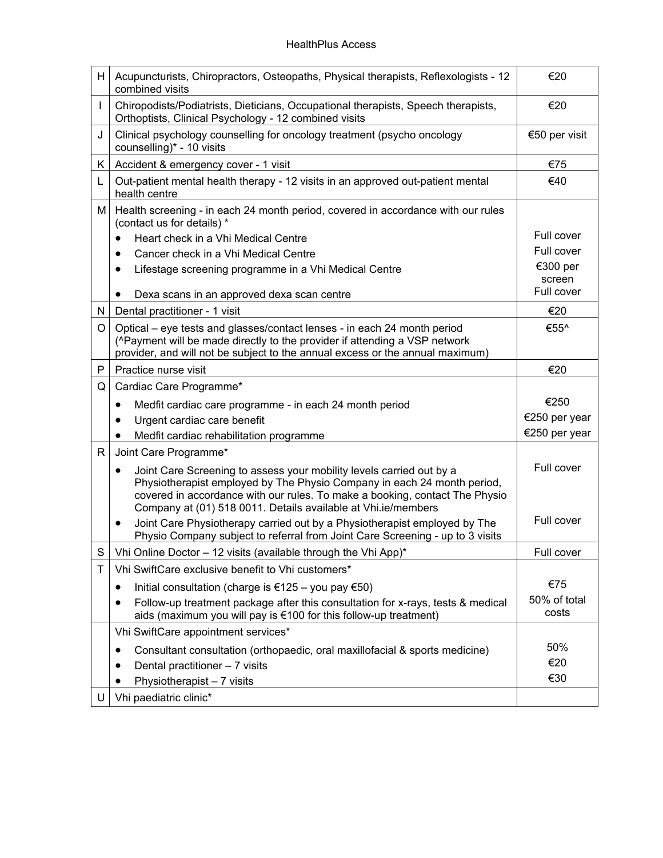| H. | Acupuncturists, Chiropractors, Osteopaths, Physical therapists, Reflexologists - 12<br>combined visits                                                                                                                                                                                          | €20           |
|----|-------------------------------------------------------------------------------------------------------------------------------------------------------------------------------------------------------------------------------------------------------------------------------------------------|---------------|
|    | Chiropodists/Podiatrists, Dieticians, Occupational therapists, Speech therapists,<br>Orthoptists, Clinical Psychology - 12 combined visits                                                                                                                                                      | €20           |
| J  | Clinical psychology counselling for oncology treatment (psycho oncology<br>counselling)* - 10 visits                                                                                                                                                                                            | €50 per visit |
| K. | Accident & emergency cover - 1 visit                                                                                                                                                                                                                                                            | €75           |
| L  | Out-patient mental health therapy - 12 visits in an approved out-patient mental<br>health centre                                                                                                                                                                                                | €40           |
| м  | Health screening - in each 24 month period, covered in accordance with our rules<br>(contact us for details) *                                                                                                                                                                                  |               |
|    | Heart check in a Vhi Medical Centre<br>$\bullet$                                                                                                                                                                                                                                                | Full cover    |
|    | Cancer check in a Vhi Medical Centre                                                                                                                                                                                                                                                            | Full cover    |
|    | Lifestage screening programme in a Vhi Medical Centre                                                                                                                                                                                                                                           | €300 per      |
|    |                                                                                                                                                                                                                                                                                                 | screen        |
|    | Dexa scans in an approved dexa scan centre                                                                                                                                                                                                                                                      | Full cover    |
| N  | Dental practitioner - 1 visit                                                                                                                                                                                                                                                                   | €20           |
| O  | Optical – eye tests and glasses/contact lenses - in each 24 month period                                                                                                                                                                                                                        | €55^          |
|    | (^Payment will be made directly to the provider if attending a VSP network                                                                                                                                                                                                                      |               |
|    | provider, and will not be subject to the annual excess or the annual maximum)                                                                                                                                                                                                                   |               |
| P  | Practice nurse visit                                                                                                                                                                                                                                                                            | €20           |
| Q  | Cardiac Care Programme*                                                                                                                                                                                                                                                                         |               |
|    | Medfit cardiac care programme - in each 24 month period<br>$\bullet$                                                                                                                                                                                                                            | €250          |
|    | Urgent cardiac care benefit                                                                                                                                                                                                                                                                     | €250 per year |
|    | Medfit cardiac rehabilitation programme                                                                                                                                                                                                                                                         | €250 per year |
| R  | Joint Care Programme*                                                                                                                                                                                                                                                                           |               |
|    | Joint Care Screening to assess your mobility levels carried out by a<br>Physiotherapist employed by The Physio Company in each 24 month period,<br>covered in accordance with our rules. To make a booking, contact The Physio<br>Company at (01) 518 0011. Details available at Vhi.ie/members | Full cover    |
|    | Joint Care Physiotherapy carried out by a Physiotherapist employed by The<br>٠<br>Physio Company subject to referral from Joint Care Screening - up to 3 visits                                                                                                                                 | Full cover    |
| S  | Vhi Online Doctor - 12 visits (available through the Vhi App)*                                                                                                                                                                                                                                  | Full cover    |
| Т  | Vhi SwiftCare exclusive benefit to Vhi customers*                                                                                                                                                                                                                                               |               |
|    | Initial consultation (charge is €125 – you pay €50)<br>٠                                                                                                                                                                                                                                        | €75           |
|    | Follow-up treatment package after this consultation for x-rays, tests & medical                                                                                                                                                                                                                 | 50% of total  |
|    | aids (maximum you will pay is €100 for this follow-up treatment)                                                                                                                                                                                                                                | costs         |
|    | Vhi SwiftCare appointment services*                                                                                                                                                                                                                                                             |               |
|    | Consultant consultation (orthopaedic, oral maxillofacial & sports medicine)                                                                                                                                                                                                                     | 50%           |
|    | Dental practitioner - 7 visits                                                                                                                                                                                                                                                                  | €20           |
|    | Physiotherapist - 7 visits                                                                                                                                                                                                                                                                      | €30           |
| U  | Vhi paediatric clinic*                                                                                                                                                                                                                                                                          |               |
|    |                                                                                                                                                                                                                                                                                                 |               |